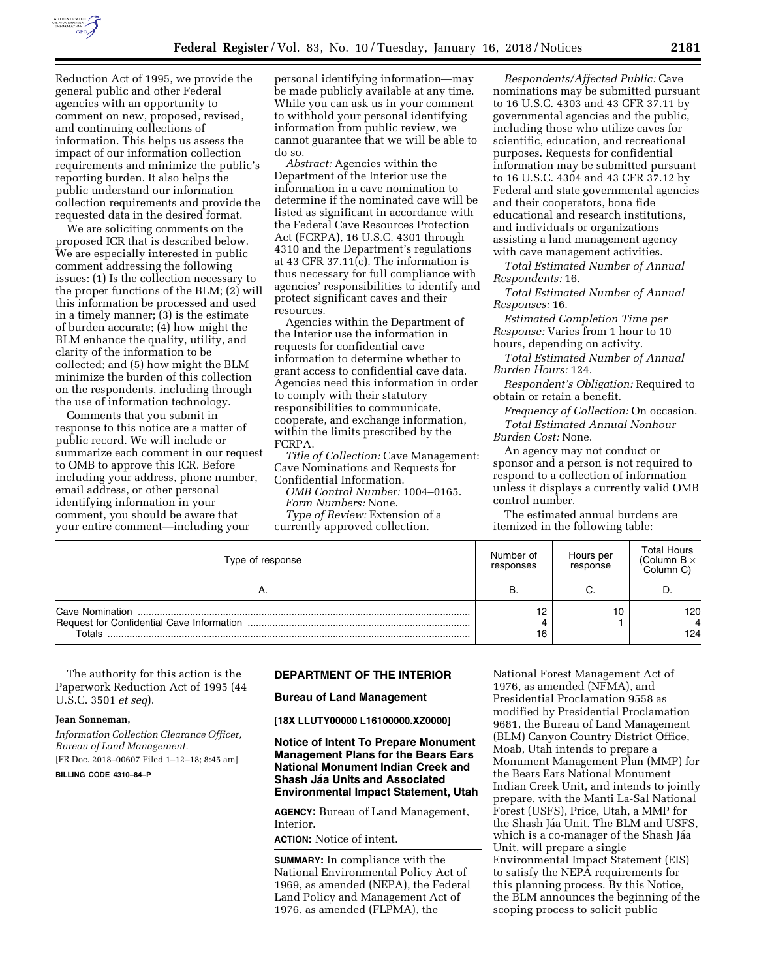

Reduction Act of 1995, we provide the general public and other Federal agencies with an opportunity to comment on new, proposed, revised, and continuing collections of information. This helps us assess the impact of our information collection requirements and minimize the public's reporting burden. It also helps the public understand our information collection requirements and provide the requested data in the desired format.

We are soliciting comments on the proposed ICR that is described below. We are especially interested in public comment addressing the following issues: (1) Is the collection necessary to the proper functions of the BLM; (2) will this information be processed and used in a timely manner; (3) is the estimate of burden accurate; (4) how might the BLM enhance the quality, utility, and clarity of the information to be collected; and (5) how might the BLM minimize the burden of this collection on the respondents, including through the use of information technology.

Comments that you submit in response to this notice are a matter of public record. We will include or summarize each comment in our request to OMB to approve this ICR. Before including your address, phone number, email address, or other personal identifying information in your comment, you should be aware that your entire comment—including your

personal identifying information—may be made publicly available at any time. While you can ask us in your comment to withhold your personal identifying information from public review, we cannot guarantee that we will be able to do so.

*Abstract:* Agencies within the Department of the Interior use the information in a cave nomination to determine if the nominated cave will be listed as significant in accordance with the Federal Cave Resources Protection Act (FCRPA), 16 U.S.C. 4301 through 4310 and the Department's regulations at 43 CFR 37.11(c). The information is thus necessary for full compliance with agencies' responsibilities to identify and protect significant caves and their resources.

Agencies within the Department of the Interior use the information in requests for confidential cave information to determine whether to grant access to confidential cave data. Agencies need this information in order to comply with their statutory responsibilities to communicate, cooperate, and exchange information, within the limits prescribed by the FCRPA.

*Title of Collection:* Cave Management: Cave Nominations and Requests for Confidential Information. *OMB Control Number:* 1004–0165. *Form Numbers:* None. *Type of Review:* Extension of a currently approved collection.

*Respondents/Affected Public:* Cave nominations may be submitted pursuant to 16 U.S.C. 4303 and 43 CFR 37.11 by governmental agencies and the public, including those who utilize caves for scientific, education, and recreational purposes. Requests for confidential information may be submitted pursuant to 16 U.S.C. 4304 and 43 CFR 37.12 by Federal and state governmental agencies and their cooperators, bona fide educational and research institutions, and individuals or organizations assisting a land management agency with cave management activities.

*Total Estimated Number of Annual Respondents:* 16.

*Total Estimated Number of Annual Responses:* 16.

*Estimated Completion Time per Response:* Varies from 1 hour to 10 hours, depending on activity.

*Total Estimated Number of Annual Burden Hours:* 124.

*Respondent's Obligation:* Required to obtain or retain a benefit.

*Frequency of Collection:* On occasion. *Total Estimated Annual Nonhour Burden Cost:* None.

An agency may not conduct or sponsor and a person is not required to respond to a collection of information unless it displays a currently valid OMB control number.

The estimated annual burdens are itemized in the following table:

| Type of response | Number of<br>responses | Hours per<br>response | <b>Total Hours</b><br>(Column B $\times$<br>Column C) |
|------------------|------------------------|-----------------------|-------------------------------------------------------|
| Α.               | в                      |                       |                                                       |
| Totals           | 12<br>16               | 10                    | 120<br>124                                            |

The authority for this action is the Paperwork Reduction Act of 1995 (44 U.S.C. 3501 *et seq*).

#### **Jean Sonneman,**

*Information Collection Clearance Officer, Bureau of Land Management.* 

[FR Doc. 2018–00607 Filed 1–12–18; 8:45 am]

**BILLING CODE 4310–84–P** 

# **DEPARTMENT OF THE INTERIOR**

**Bureau of Land Management** 

**[18X LLUTY00000 L16100000.XZ0000]** 

### **Notice of Intent To Prepare Monument Management Plans for the Bears Ears National Monument Indian Creek and Shash Jáa Units and Associated Environmental Impact Statement, Utah**

**AGENCY:** Bureau of Land Management, Interior.

**ACTION:** Notice of intent.

**SUMMARY:** In compliance with the National Environmental Policy Act of 1969, as amended (NEPA), the Federal Land Policy and Management Act of 1976, as amended (FLPMA), the

National Forest Management Act of 1976, as amended (NFMA), and Presidential Proclamation 9558 as modified by Presidential Proclamation 9681, the Bureau of Land Management (BLM) Canyon Country District Office, Moab, Utah intends to prepare a Monument Management Plan (MMP) for the Bears Ears National Monument Indian Creek Unit, and intends to jointly prepare, with the Manti La-Sal National Forest (USFS), Price, Utah, a MMP for the Shash Jáa Unit. The BLM and USFS, which is a co-manager of the Shash Jáa Unit, will prepare a single Environmental Impact Statement (EIS) to satisfy the NEPA requirements for this planning process. By this Notice, the BLM announces the beginning of the scoping process to solicit public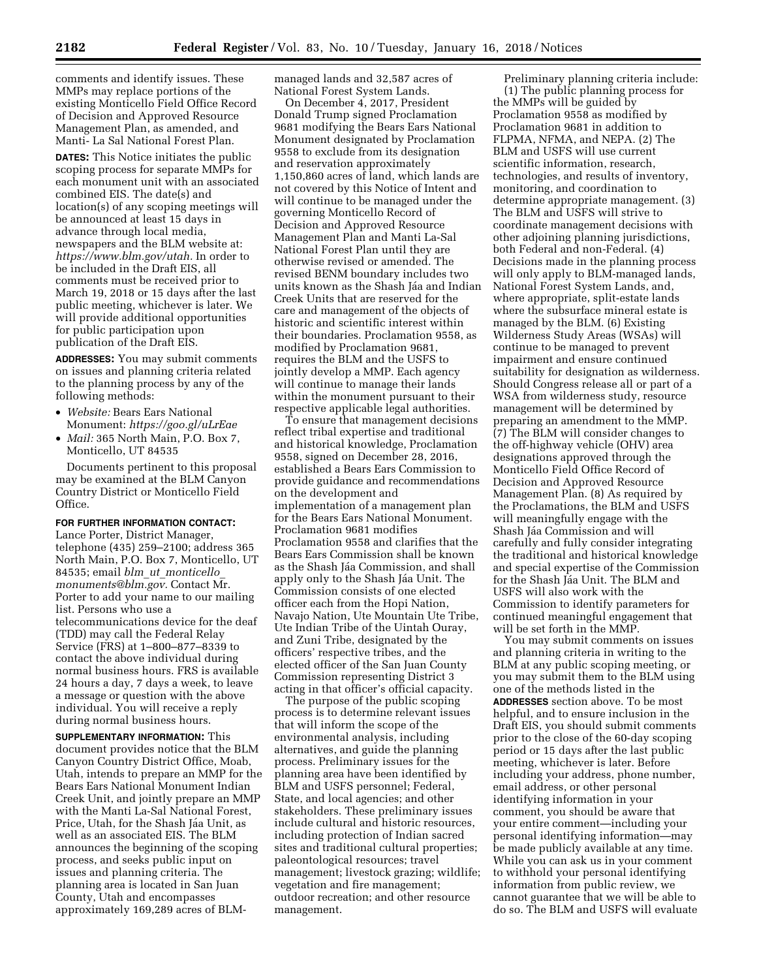comments and identify issues. These MMPs may replace portions of the existing Monticello Field Office Record of Decision and Approved Resource Management Plan, as amended, and Manti- La Sal National Forest Plan.

**DATES:** This Notice initiates the public scoping process for separate MMPs for each monument unit with an associated combined EIS. The date(s) and location(s) of any scoping meetings will be announced at least 15 days in advance through local media, newspapers and the BLM website at: *[https://www.blm.gov/utah.](https://www.blm.gov/utah)* In order to be included in the Draft EIS, all comments must be received prior to March 19, 2018 or 15 days after the last public meeting, whichever is later. We will provide additional opportunities for public participation upon publication of the Draft EIS.

**ADDRESSES:** You may submit comments on issues and planning criteria related to the planning process by any of the following methods:

- *Website:* Bears Ears National Monument: *<https://goo.gl/uLrEae>*
- *Mail:* 365 North Main, P.O. Box 7, Monticello, UT 84535

Documents pertinent to this proposal may be examined at the BLM Canyon Country District or Monticello Field Office.

# **FOR FURTHER INFORMATION CONTACT:**

Lance Porter, District Manager, telephone (435) 259–2100; address 365 North Main, P.O. Box 7, Monticello, UT 84535; email *blm*\_*ut*\_*[monticello](mailto:blm_ut_monticello_monuments@blm.gov)*\_ *[monuments@blm.gov.](mailto:blm_ut_monticello_monuments@blm.gov)* Contact Mr. Porter to add your name to our mailing list. Persons who use a telecommunications device for the deaf (TDD) may call the Federal Relay Service (FRS) at 1–800–877–8339 to contact the above individual during normal business hours. FRS is available 24 hours a day, 7 days a week, to leave a message or question with the above individual. You will receive a reply during normal business hours.

**SUPPLEMENTARY INFORMATION:** This document provides notice that the BLM Canyon Country District Office, Moab, Utah, intends to prepare an MMP for the Bears Ears National Monument Indian Creek Unit, and jointly prepare an MMP with the Manti La-Sal National Forest, Price, Utah, for the Shash Jáa Unit, as well as an associated EIS. The BLM announces the beginning of the scoping process, and seeks public input on issues and planning criteria. The planning area is located in San Juan County, Utah and encompasses approximately 169,289 acres of BLM-

managed lands and 32,587 acres of National Forest System Lands.

On December 4, 2017, President Donald Trump signed Proclamation 9681 modifying the Bears Ears National Monument designated by Proclamation 9558 to exclude from its designation and reservation approximately 1,150,860 acres of land, which lands are not covered by this Notice of Intent and will continue to be managed under the governing Monticello Record of Decision and Approved Resource Management Plan and Manti La-Sal National Forest Plan until they are otherwise revised or amended. The revised BENM boundary includes two units known as the Shash Jáa and Indian Creek Units that are reserved for the care and management of the objects of historic and scientific interest within their boundaries. Proclamation 9558, as modified by Proclamation 9681, requires the BLM and the USFS to jointly develop a MMP. Each agency will continue to manage their lands within the monument pursuant to their respective applicable legal authorities.

To ensure that management decisions reflect tribal expertise and traditional and historical knowledge, Proclamation 9558, signed on December 28, 2016, established a Bears Ears Commission to provide guidance and recommendations on the development and implementation of a management plan for the Bears Ears National Monument. Proclamation 9681 modifies Proclamation 9558 and clarifies that the Bears Ears Commission shall be known as the Shash Jáa Commission, and shall apply only to the Shash Jáa Unit. The Commission consists of one elected officer each from the Hopi Nation, Navajo Nation, Ute Mountain Ute Tribe, Ute Indian Tribe of the Uintah Ouray, and Zuni Tribe, designated by the officers' respective tribes, and the elected officer of the San Juan County Commission representing District 3 acting in that officer's official capacity.

The purpose of the public scoping process is to determine relevant issues that will inform the scope of the environmental analysis, including alternatives, and guide the planning process. Preliminary issues for the planning area have been identified by BLM and USFS personnel; Federal, State, and local agencies; and other stakeholders. These preliminary issues include cultural and historic resources, including protection of Indian sacred sites and traditional cultural properties; paleontological resources; travel management; livestock grazing; wildlife; vegetation and fire management; outdoor recreation; and other resource management.

Preliminary planning criteria include: (1) The public planning process for the MMPs will be guided by Proclamation 9558 as modified by Proclamation 9681 in addition to FLPMA, NFMA, and NEPA. (2) The BLM and USFS will use current scientific information, research,

technologies, and results of inventory, monitoring, and coordination to determine appropriate management. (3) The BLM and USFS will strive to coordinate management decisions with other adjoining planning jurisdictions, both Federal and non-Federal. (4) Decisions made in the planning process will only apply to BLM-managed lands, National Forest System Lands, and, where appropriate, split-estate lands where the subsurface mineral estate is managed by the BLM. (6) Existing Wilderness Study Areas (WSAs) will continue to be managed to prevent impairment and ensure continued suitability for designation as wilderness. Should Congress release all or part of a WSA from wilderness study, resource management will be determined by preparing an amendment to the MMP. (7) The BLM will consider changes to the off-highway vehicle (OHV) area designations approved through the Monticello Field Office Record of Decision and Approved Resource Management Plan. (8) As required by the Proclamations, the BLM and USFS will meaningfully engage with the Shash Jáa Commission and will carefully and fully consider integrating the traditional and historical knowledge and special expertise of the Commission for the Shash Jáa Unit. The BLM and USFS will also work with the Commission to identify parameters for continued meaningful engagement that will be set forth in the MMP.

You may submit comments on issues and planning criteria in writing to the BLM at any public scoping meeting, or you may submit them to the BLM using one of the methods listed in the **ADDRESSES** section above. To be most helpful, and to ensure inclusion in the Draft EIS, you should submit comments prior to the close of the 60-day scoping period or 15 days after the last public meeting, whichever is later. Before including your address, phone number, email address, or other personal identifying information in your comment, you should be aware that your entire comment—including your personal identifying information—may be made publicly available at any time. While you can ask us in your comment to withhold your personal identifying information from public review, we cannot guarantee that we will be able to do so. The BLM and USFS will evaluate